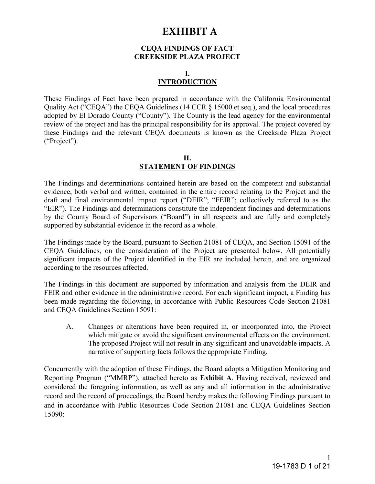# **EXHIBIT A**

#### **CEQA FINDINGS OF FACT CREEKSIDE PLAZA PROJECT**

# **I. INTRODUCTION**

These Findings of Fact have been prepared in accordance with the California Environmental Quality Act ("CEQA") the CEQA Guidelines (14 CCR § 15000 et seq.), and the local procedures adopted by El Dorado County ("County"). The County is the lead agency for the environmental review of the project and has the principal responsibility for its approval. The project covered by these Findings and the relevant CEQA documents is known as the Creekside Plaza Project ("Project").

## **II. STATEMENT OF FINDINGS**

The Findings and determinations contained herein are based on the competent and substantial evidence, both verbal and written, contained in the entire record relating to the Project and the draft and final environmental impact report ("DEIR"; "FEIR"; collectively referred to as the "EIR"). The Findings and determinations constitute the independent findings and determinations by the County Board of Supervisors ("Board") in all respects and are fully and completely supported by substantial evidence in the record as a whole.

The Findings made by the Board, pursuant to Section 21081 of CEQA, and Section 15091 of the CEQA Guidelines, on the consideration of the Project are presented below. All potentially significant impacts of the Project identified in the EIR are included herein, and are organized according to the resources affected.

The Findings in this document are supported by information and analysis from the DEIR and FEIR and other evidence in the administrative record. For each significant impact, a Finding has been made regarding the following, in accordance with Public Resources Code Section 21081 and CEQA Guidelines Section 15091:

A. Changes or alterations have been required in, or incorporated into, the Project which mitigate or avoid the significant environmental effects on the environment. The proposed Project will not result in any significant and unavoidable impacts. A narrative of supporting facts follows the appropriate Finding.

Concurrently with the adoption of these Findings, the Board adopts a Mitigation Monitoring and Reporting Program ("MMRP"), attached hereto as **Exhibit A**. Having received, reviewed and considered the foregoing information, as well as any and all information in the administrative record and the record of proceedings, the Board hereby makes the following Findings pursuant to and in accordance with Public Resources Code Section 21081 and CEQA Guidelines Section 15090: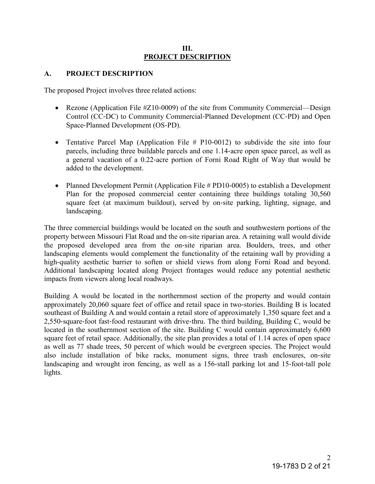#### **III. PROJECT DESCRIPTION**

#### **A. PROJECT DESCRIPTION**

The proposed Project involves three related actions:

- Rezone (Application File #Z10‐0009) of the site from Community Commercial—Design Control (CC‐DC) to Community Commercial‐Planned Development (CC‐PD) and Open Space‐Planned Development (OS‐PD).
- Tentative Parcel Map (Application File # P10‐0012) to subdivide the site into four parcels, including three buildable parcels and one 1.14‐acre open space parcel, as well as a general vacation of a 0.22‐acre portion of Forni Road Right of Way that would be added to the development.
- Planned Development Permit (Application File # PD10‐0005) to establish a Development Plan for the proposed commercial center containing three buildings totaling 30,560 square feet (at maximum buildout), served by on-site parking, lighting, signage, and landscaping.

The three commercial buildings would be located on the south and southwestern portions of the property between Missouri Flat Road and the on‐site riparian area. A retaining wall would divide the proposed developed area from the on‐site riparian area. Boulders, trees, and other landscaping elements would complement the functionality of the retaining wall by providing a high-quality aesthetic barrier to soften or shield views from along Forni Road and beyond. Additional landscaping located along Project frontages would reduce any potential aesthetic impacts from viewers along local roadways.

Building A would be located in the northernmost section of the property and would contain approximately 20,060 square feet of office and retail space in two‐stories. Building B is located southeast of Building A and would contain a retail store of approximately 1,350 square feet and a 2,550‐square‐foot fast‐food restaurant with drive‐thru. The third building, Building C, would be located in the southernmost section of the site. Building C would contain approximately 6,600 square feet of retail space. Additionally, the site plan provides a total of 1.14 acres of open space as well as 77 shade trees, 50 percent of which would be evergreen species. The Project would also include installation of bike racks, monument signs, three trash enclosures, on‐site landscaping and wrought iron fencing, as well as a 156-stall parking lot and 15-foot-tall pole lights.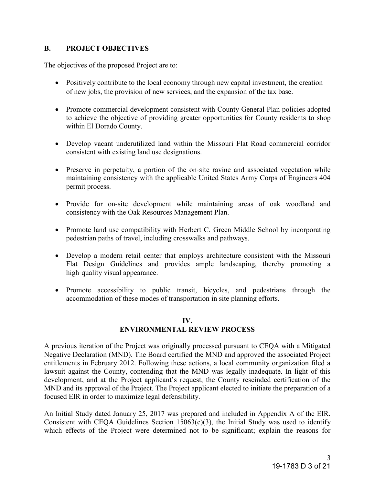# **B. PROJECT OBJECTIVES**

The objectives of the proposed Project are to:

- Positively contribute to the local economy through new capital investment, the creation of new jobs, the provision of new services, and the expansion of the tax base.
- Promote commercial development consistent with County General Plan policies adopted to achieve the objective of providing greater opportunities for County residents to shop within El Dorado County.
- Develop vacant underutilized land within the Missouri Flat Road commercial corridor consistent with existing land use designations.
- Preserve in perpetuity, a portion of the on-site ravine and associated vegetation while maintaining consistency with the applicable United States Army Corps of Engineers 404 permit process.
- Provide for on‐site development while maintaining areas of oak woodland and consistency with the Oak Resources Management Plan.
- Promote land use compatibility with Herbert C. Green Middle School by incorporating pedestrian paths of travel, including crosswalks and pathways.
- Develop a modern retail center that employs architecture consistent with the Missouri Flat Design Guidelines and provides ample landscaping, thereby promoting a high-quality visual appearance.
- Promote accessibility to public transit, bicycles, and pedestrians through the accommodation of these modes of transportation in site planning efforts.

# **IV. ENVIRONMENTAL REVIEW PROCESS**

A previous iteration of the Project was originally processed pursuant to CEQA with a Mitigated Negative Declaration (MND). The Board certified the MND and approved the associated Project entitlements in February 2012. Following these actions, a local community organization filed a lawsuit against the County, contending that the MND was legally inadequate. In light of this development, and at the Project applicant's request, the County rescinded certification of the MND and its approval of the Project. The Project applicant elected to initiate the preparation of a focused EIR in order to maximize legal defensibility.

An Initial Study dated January 25, 2017 was prepared and included in Appendix A of the EIR. Consistent with CEQA Guidelines Section  $15063(c)(3)$ , the Initial Study was used to identify which effects of the Project were determined not to be significant; explain the reasons for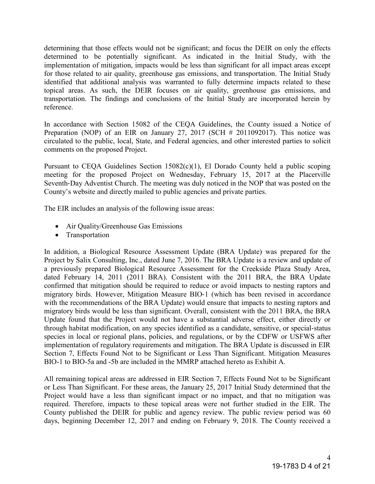determining that those effects would not be significant; and focus the DEIR on only the effects determined to be potentially significant. As indicated in the Initial Study, with the implementation of mitigation, impacts would be less than significant for all impact areas except for those related to air quality, greenhouse gas emissions, and transportation. The Initial Study identified that additional analysis was warranted to fully determine impacts related to these topical areas. As such, the DEIR focuses on air quality, greenhouse gas emissions, and transportation. The findings and conclusions of the Initial Study are incorporated herein by reference.

In accordance with Section 15082 of the CEQA Guidelines, the County issued a Notice of Preparation (NOP) of an EIR on January 27, 2017 (SCH  $\#$  2011092017). This notice was circulated to the public, local, State, and Federal agencies, and other interested parties to solicit comments on the proposed Project.

Pursuant to CEQA Guidelines Section 15082(c)(1), El Dorado County held a public scoping meeting for the proposed Project on Wednesday, February 15, 2017 at the Placerville Seventh-Day Adventist Church. The meeting was duly noticed in the NOP that was posted on the County's website and directly mailed to public agencies and private parties.

The EIR includes an analysis of the following issue areas:

- Air Quality/Greenhouse Gas Emissions
- Transportation

In addition, a Biological Resource Assessment Update (BRA Update) was prepared for the Project by Salix Consulting, Inc., dated June 7, 2016. The BRA Update is a review and update of a previously prepared Biological Resource Assessment for the Creekside Plaza Study Area, dated February 14, 2011 (2011 BRA). Consistent with the 2011 BRA, the BRA Update confirmed that mitigation should be required to reduce or avoid impacts to nesting raptors and migratory birds. However, Mitigation Measure BIO‐1 (which has been revised in accordance with the recommendations of the BRA Update) would ensure that impacts to nesting raptors and migratory birds would be less than significant. Overall, consistent with the 2011 BRA, the BRA Update found that the Project would not have a substantial adverse effect, either directly or through habitat modification, on any species identified as a candidate, sensitive, or special‐status species in local or regional plans, policies, and regulations, or by the CDFW or USFWS after implementation of regulatory requirements and mitigation. The BRA Update is discussed in EIR Section 7, Effects Found Not to be Significant or Less Than Significant. Mitigation Measures BIO-1 to BIO-5a and -5b are included in the MMRP attached hereto as Exhibit A.

All remaining topical areas are addressed in EIR Section 7, Effects Found Not to be Significant or Less Than Significant. For these areas, the January 25, 2017 Initial Study determined that the Project would have a less than significant impact or no impact, and that no mitigation was required. Therefore, impacts to these topical areas were not further studied in the EIR. The County published the DEIR for public and agency review. The public review period was 60 days, beginning December 12, 2017 and ending on February 9, 2018. The County received a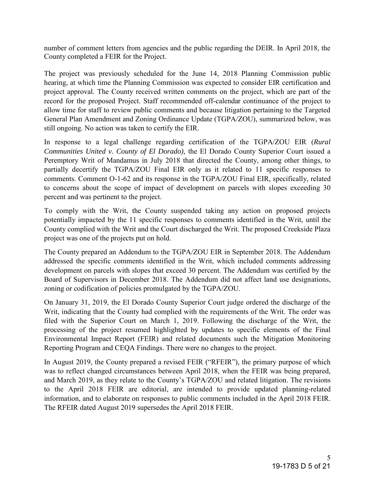number of comment letters from agencies and the public regarding the DEIR. In April 2018, the County completed a FEIR for the Project.

The project was previously scheduled for the June 14, 2018 Planning Commission public hearing, at which time the Planning Commission was expected to consider EIR certification and project approval. The County received written comments on the project, which are part of the record for the proposed Project. Staff recommended off-calendar continuance of the project to allow time for staff to review public comments and because litigation pertaining to the Targeted General Plan Amendment and Zoning Ordinance Update (TGPA/ZOU), summarized below, was still ongoing. No action was taken to certify the EIR.

In response to a legal challenge regarding certification of the TGPA/ZOU EIR (*Rural Communities United v. County of El Dorado)*, the El Dorado County Superior Court issued a Peremptory Writ of Mandamus in July 2018 that directed the County, among other things, to partially decertify the TGPA/ZOU Final EIR only as it related to 11 specific responses to comments. Comment O-1-62 and its response in the TGPA/ZOU Final EIR, specifically, related to concerns about the scope of impact of development on parcels with slopes exceeding 30 percent and was pertinent to the project.

To comply with the Writ, the County suspended taking any action on proposed projects potentially impacted by the 11 specific responses to comments identified in the Writ, until the County complied with the Writ and the Court discharged the Writ. The proposed Creekside Plaza project was one of the projects put on hold.

The County prepared an Addendum to the TGPA/ZOU EIR in September 2018. The Addendum addressed the specific comments identified in the Writ, which included comments addressing development on parcels with slopes that exceed 30 percent. The Addendum was certified by the Board of Supervisors in December 2018. The Addendum did not affect land use designations, zoning or codification of policies promulgated by the TGPA/ZOU.

On January 31, 2019, the El Dorado County Superior Court judge ordered the discharge of the Writ, indicating that the County had complied with the requirements of the Writ. The order was filed with the Superior Court on March 1, 2019. Following the discharge of the Writ, the processing of the project resumed highlighted by updates to specific elements of the Final Environmental Impact Report (FEIR) and related documents such the Mitigation Monitoring Reporting Program and CEQA Findings. There were no changes to the project.

In August 2019, the County prepared a revised FEIR ("RFEIR"), the primary purpose of which was to reflect changed circumstances between April 2018, when the FEIR was being prepared, and March 2019, as they relate to the County's TGPA/ZOU and related litigation. The revisions to the April 2018 FEIR are editorial, are intended to provide updated planning-related information, and to elaborate on responses to public comments included in the April 2018 FEIR. The RFEIR dated August 2019 supersedes the April 2018 FEIR.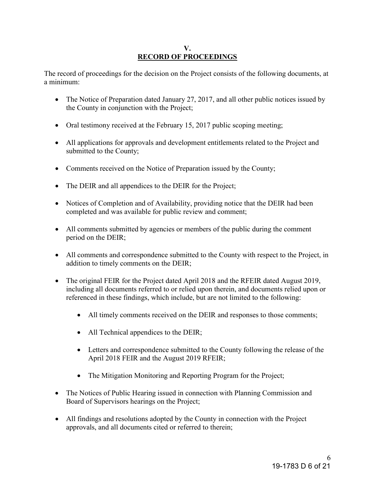## **V. RECORD OF PROCEEDINGS**

The record of proceedings for the decision on the Project consists of the following documents, at a minimum:

- The Notice of Preparation dated January 27, 2017, and all other public notices issued by the County in conjunction with the Project;
- Oral testimony received at the February 15, 2017 public scoping meeting;
- All applications for approvals and development entitlements related to the Project and submitted to the County;
- Comments received on the Notice of Preparation issued by the County;
- The DEIR and all appendices to the DEIR for the Project;
- Notices of Completion and of Availability, providing notice that the DEIR had been completed and was available for public review and comment;
- All comments submitted by agencies or members of the public during the comment period on the DEIR;
- All comments and correspondence submitted to the County with respect to the Project, in addition to timely comments on the DEIR;
- The original FEIR for the Project dated April 2018 and the RFEIR dated August 2019, including all documents referred to or relied upon therein, and documents relied upon or referenced in these findings, which include, but are not limited to the following:
	- All timely comments received on the DEIR and responses to those comments;
	- All Technical appendices to the DEIR;
	- Letters and correspondence submitted to the County following the release of the April 2018 FEIR and the August 2019 RFEIR;
	- The Mitigation Monitoring and Reporting Program for the Project;
- The Notices of Public Hearing issued in connection with Planning Commission and Board of Supervisors hearings on the Project;
- All findings and resolutions adopted by the County in connection with the Project approvals, and all documents cited or referred to therein;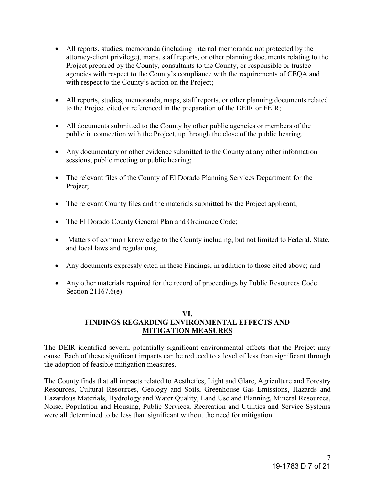- All reports, studies, memoranda (including internal memoranda not protected by the attorney-client privilege), maps, staff reports, or other planning documents relating to the Project prepared by the County, consultants to the County, or responsible or trustee agencies with respect to the County's compliance with the requirements of CEQA and with respect to the County's action on the Project;
- All reports, studies, memoranda, maps, staff reports, or other planning documents related to the Project cited or referenced in the preparation of the DEIR or FEIR;
- All documents submitted to the County by other public agencies or members of the public in connection with the Project, up through the close of the public hearing.
- Any documentary or other evidence submitted to the County at any other information sessions, public meeting or public hearing;
- The relevant files of the County of El Dorado Planning Services Department for the Project;
- The relevant County files and the materials submitted by the Project applicant;
- The El Dorado County General Plan and Ordinance Code;
- Matters of common knowledge to the County including, but not limited to Federal, State, and local laws and regulations;
- Any documents expressly cited in these Findings, in addition to those cited above; and
- Any other materials required for the record of proceedings by Public Resources Code Section 21167.6(e).

#### **VI. FINDINGS REGARDING ENVIRONMENTAL EFFECTS AND MITIGATION MEASURES**

The DEIR identified several potentially significant environmental effects that the Project may cause. Each of these significant impacts can be reduced to a level of less than significant through the adoption of feasible mitigation measures.

The County finds that all impacts related to Aesthetics, Light and Glare, Agriculture and Forestry Resources, Cultural Resources, Geology and Soils, Greenhouse Gas Emissions, Hazards and Hazardous Materials, Hydrology and Water Quality, Land Use and Planning, Mineral Resources, Noise, Population and Housing, Public Services, Recreation and Utilities and Service Systems were all determined to be less than significant without the need for mitigation.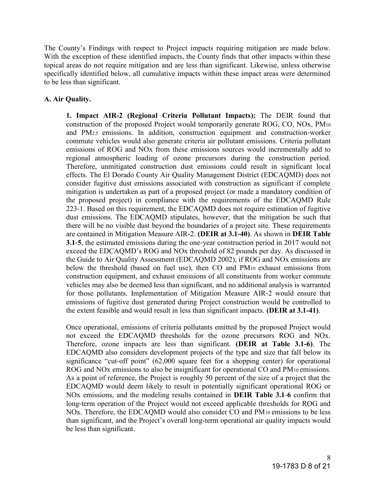The County's Findings with respect to Project impacts requiring mitigation are made below. With the exception of these identified impacts, the County finds that other impacts within these topical areas do not require mitigation and are less than significant. Likewise, unless otherwise specifically identified below, all cumulative impacts within these impact areas were determined to be less than significant.

## **A. Air Quality.**

**1. Impact AIR-2 (Regional Criteria Pollutant Impacts):** The DEIR found that construction of the proposed Project would temporarily generate ROG, CO, NOx, PM<sup>10</sup> and PM2.5 emissions. In addition, construction equipment and construction‐worker commute vehicles would also generate criteria air pollutant emissions. Criteria pollutant emissions of ROG and NOx from these emissions sources would incrementally add to regional atmospheric loading of ozone precursors during the construction period. Therefore, unmitigated construction dust emissions could result in significant local effects. The El Dorado County Air Quality Management District (EDCAQMD) does not consider fugitive dust emissions associated with construction as significant if complete mitigation is undertaken as part of a proposed project (or made a mandatory condition of the proposed project) in compliance with the requirements of the EDCAQMD Rule 223‐1. Based on this requirement, the EDCAQMD does not require estimation of fugitive dust emissions. The EDCAQMD stipulates, however, that the mitigation be such that there will be no visible dust beyond the boundaries of a project site. These requirements are contained in Mitigation Measure AIR-2. **(DEIR at 3.1-40)**. As shown in **DEIR Table 3.1**‐**5**, the estimated emissions during the one‐year construction period in 2017 would not exceed the EDCAQMD's ROG and NOx threshold of 82 pounds per day. As discussed in the Guide to Air Quality Assessment (EDCAQMD 2002), if ROG and NOx emissions are below the threshold (based on fuel use), then CO and PM10 exhaust emissions from construction equipment, and exhaust emissions of all constituents from worker commute vehicles may also be deemed less than significant, and no additional analysis is warranted for those pollutants. Implementation of Mitigation Measure AIR‐2 would ensure that emissions of fugitive dust generated during Project construction would be controlled to the extent feasible and would result in less than significant impacts. **(DEIR at 3.1-41)**.

Once operational, emissions of criteria pollutants emitted by the proposed Project would not exceed the EDCAQMD thresholds for the ozone precursors ROG and NOx. Therefore, ozone impacts are less than significant. **(DEIR at Table 3.1-6)**. The EDCAQMD also considers development projects of the type and size that fall below its significance "cut-off point" (62,000 square feet for a shopping center) for operational ROG and NOx emissions to also be insignificant for operational CO and PM<sub>10</sub> emissions. As a point of reference, the Project is roughly 50 percent of the size of a project that the EDCAQMD would deem likely to result in potentially significant operational ROG or NOx emissions, and the modeling results contained in **DEIR Table 3.1**‐**6** confirm that long-term operation of the Project would not exceed applicable thresholds for ROG and NO<sub>x</sub>. Therefore, the EDCAQMD would also consider CO and PM<sub>10</sub> emissions to be less than significant, and the Project's overall long-term operational air quality impacts would be less than significant.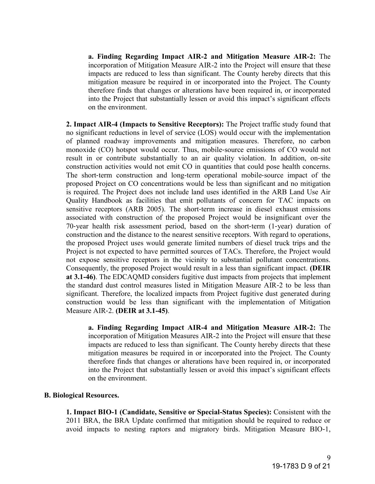**a. Finding Regarding Impact AIR-2 and Mitigation Measure AIR-2:** The incorporation of Mitigation Measure AIR-2 into the Project will ensure that these impacts are reduced to less than significant. The County hereby directs that this mitigation measure be required in or incorporated into the Project. The County therefore finds that changes or alterations have been required in, or incorporated into the Project that substantially lessen or avoid this impact's significant effects on the environment.

**2. Impact AIR-4 (Impacts to Sensitive Receptors):** The Project traffic study found that no significant reductions in level of service (LOS) would occur with the implementation of planned roadway improvements and mitigation measures. Therefore, no carbon monoxide (CO) hotspot would occur. Thus, mobile‐source emissions of CO would not result in or contribute substantially to an air quality violation. In addition, on‐site construction activities would not emit CO in quantities that could pose health concerns. The short-term construction and long-term operational mobile-source impact of the proposed Project on CO concentrations would be less than significant and no mitigation is required. The Project does not include land uses identified in the ARB Land Use Air Quality Handbook as facilities that emit pollutants of concern for TAC impacts on sensitive receptors (ARB 2005). The short-term increase in diesel exhaust emissions associated with construction of the proposed Project would be insignificant over the 70‐year health risk assessment period, based on the short‐term (1‐year) duration of construction and the distance to the nearest sensitive receptors. With regard to operations, the proposed Project uses would generate limited numbers of diesel truck trips and the Project is not expected to have permitted sources of TACs. Therefore, the Project would not expose sensitive receptors in the vicinity to substantial pollutant concentrations. Consequently, the proposed Project would result in a less than significant impact. **(DEIR at 3.1-46)**. The EDCAQMD considers fugitive dust impacts from projects that implement the standard dust control measures listed in Mitigation Measure AIR‐2 to be less than significant. Therefore, the localized impacts from Project fugitive dust generated during construction would be less than significant with the implementation of Mitigation Measure AIR‐2. **(DEIR at 3.1-45)**.

**a. Finding Regarding Impact AIR-4 and Mitigation Measure AIR-2:** The incorporation of Mitigation Measures AIR-2 into the Project will ensure that these impacts are reduced to less than significant. The County hereby directs that these mitigation measures be required in or incorporated into the Project. The County therefore finds that changes or alterations have been required in, or incorporated into the Project that substantially lessen or avoid this impact's significant effects on the environment.

#### **B. Biological Resources.**

**1. Impact BIO-1 (Candidate, Sensitive or Special-Status Species):** Consistent with the 2011 BRA, the BRA Update confirmed that mitigation should be required to reduce or avoid impacts to nesting raptors and migratory birds. Mitigation Measure BIO‐1,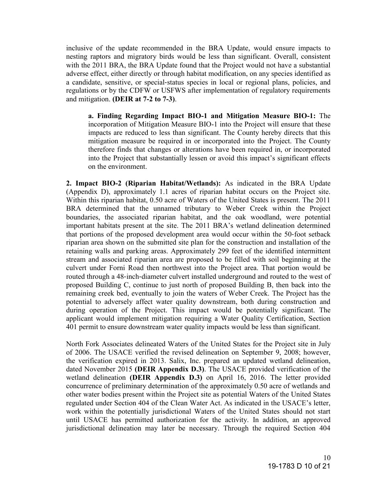inclusive of the update recommended in the BRA Update, would ensure impacts to nesting raptors and migratory birds would be less than significant. Overall, consistent with the 2011 BRA, the BRA Update found that the Project would not have a substantial adverse effect, either directly or through habitat modification, on any species identified as a candidate, sensitive, or special‐status species in local or regional plans, policies, and regulations or by the CDFW or USFWS after implementation of regulatory requirements and mitigation. **(DEIR at 7-2 to 7-3)**.

**a. Finding Regarding Impact BIO-1 and Mitigation Measure BIO-1:** The incorporation of Mitigation Measure BIO-1 into the Project will ensure that these impacts are reduced to less than significant. The County hereby directs that this mitigation measure be required in or incorporated into the Project. The County therefore finds that changes or alterations have been required in, or incorporated into the Project that substantially lessen or avoid this impact's significant effects on the environment.

**2. Impact BIO-2 (Riparian Habitat/Wetlands):** As indicated in the BRA Update (Appendix D), approximately 1.1 acres of riparian habitat occurs on the Project site. Within this riparian habitat, 0.50 acre of Waters of the United States is present. The 2011 BRA determined that the unnamed tributary to Weber Creek within the Project boundaries, the associated riparian habitat, and the oak woodland, were potential important habitats present at the site. The 2011 BRA's wetland delineation determined that portions of the proposed development area would occur within the 50‐foot setback riparian area shown on the submitted site plan for the construction and installation of the retaining walls and parking areas. Approximately 299 feet of the identified intermittent stream and associated riparian area are proposed to be filled with soil beginning at the culvert under Forni Road then northwest into the Project area. That portion would be routed through a 48‐inch‐diameter culvert installed underground and routed to the west of proposed Building C, continue to just north of proposed Building B, then back into the remaining creek bed, eventually to join the waters of Weber Creek. The Project has the potential to adversely affect water quality downstream, both during construction and during operation of the Project. This impact would be potentially significant. The applicant would implement mitigation requiring a Water Quality Certification, Section 401 permit to ensure downstream water quality impacts would be less than significant.

North Fork Associates delineated Waters of the United States for the Project site in July of 2006. The USACE verified the revised delineation on September 9, 2008; however, the verification expired in 2013. Salix, Inc. prepared an updated wetland delineation, dated November 2015 **(DEIR Appendix D.3)**. The USACE provided verification of the wetland delineation **(DEIR Appendix D.3)** on April 16, 2016. The letter provided concurrence of preliminary determination of the approximately 0.50 acre of wetlands and other water bodies present within the Project site as potential Waters of the United States regulated under Section 404 of the Clean Water Act. As indicated in the USACE's letter, work within the potentially jurisdictional Waters of the United States should not start until USACE has permitted authorization for the activity. In addition, an approved jurisdictional delineation may later be necessary. Through the required Section 404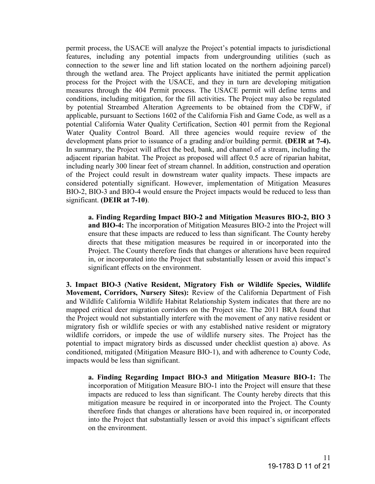permit process, the USACE will analyze the Project's potential impacts to jurisdictional features, including any potential impacts from undergrounding utilities (such as connection to the sewer line and lift station located on the northern adjoining parcel) through the wetland area. The Project applicants have initiated the permit application process for the Project with the USACE, and they in turn are developing mitigation measures through the 404 Permit process. The USACE permit will define terms and conditions, including mitigation, for the fill activities. The Project may also be regulated by potential Streambed Alteration Agreements to be obtained from the CDFW, if applicable, pursuant to Sections 1602 of the California Fish and Game Code, as well as a potential California Water Quality Certification, Section 401 permit from the Regional Water Quality Control Board. All three agencies would require review of the development plans prior to issuance of a grading and/or building permit. **(DEIR at 7-4).**  In summary, the Project will affect the bed, bank, and channel of a stream, including the adjacent riparian habitat. The Project as proposed will affect 0.5 acre of riparian habitat, including nearly 300 linear feet of stream channel. In addition, construction and operation of the Project could result in downstream water quality impacts. These impacts are considered potentially significant. However, implementation of Mitigation Measures BIO-2, BIO-3 and BIO-4 would ensure the Project impacts would be reduced to less than significant. **(DEIR at 7-10)**.

**a. Finding Regarding Impact BIO-2 and Mitigation Measures BIO-2, BIO 3 and BIO-4:** The incorporation of Mitigation Measures BIO-2 into the Project will ensure that these impacts are reduced to less than significant. The County hereby directs that these mitigation measures be required in or incorporated into the Project. The County therefore finds that changes or alterations have been required in, or incorporated into the Project that substantially lessen or avoid this impact's significant effects on the environment.

**3. Impact BIO-3 (Native Resident, Migratory Fish or Wildlife Species, Wildlife Movement, Corridors, Nursery Sites):** Review of the California Department of Fish and Wildlife California Wildlife Habitat Relationship System indicates that there are no mapped critical deer migration corridors on the Project site. The 2011 BRA found that the Project would not substantially interfere with the movement of any native resident or migratory fish or wildlife species or with any established native resident or migratory wildlife corridors, or impede the use of wildlife nursery sites. The Project has the potential to impact migratory birds as discussed under checklist question a) above. As conditioned, mitigated (Mitigation Measure BIO‐1), and with adherence to County Code, impacts would be less than significant.

**a. Finding Regarding Impact BIO-3 and Mitigation Measure BIO-1:** The incorporation of Mitigation Measure BIO-1 into the Project will ensure that these impacts are reduced to less than significant. The County hereby directs that this mitigation measure be required in or incorporated into the Project. The County therefore finds that changes or alterations have been required in, or incorporated into the Project that substantially lessen or avoid this impact's significant effects on the environment.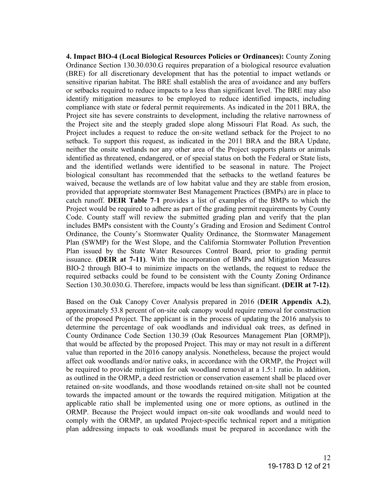**4. Impact BIO-4 (Local Biological Resources Policies or Ordinances):** County Zoning Ordinance Section 130.30.030.G requires preparation of a biological resource evaluation (BRE) for all discretionary development that has the potential to impact wetlands or sensitive riparian habitat. The BRE shall establish the area of avoidance and any buffers or setbacks required to reduce impacts to a less than significant level. The BRE may also identify mitigation measures to be employed to reduce identified impacts, including compliance with state or federal permit requirements. As indicated in the 2011 BRA, the Project site has severe constraints to development, including the relative narrowness of the Project site and the steeply graded slope along Missouri Flat Road. As such, the Project includes a request to reduce the on-site wetland setback for the Project to no setback. To support this request, as indicated in the 2011 BRA and the BRA Update, neither the onsite wetlands nor any other area of the Project supports plants or animals identified as threatened, endangered, or of special status on both the Federal or State lists, and the identified wetlands were identified to be seasonal in nature. The Project biological consultant has recommended that the setbacks to the wetland features be waived, because the wetlands are of low habitat value and they are stable from erosion, provided that appropriate stormwater Best Management Practices (BMPs) are in place to catch runoff. **DEIR Table 7**‐**1** provides a list of examples of the BMPs to which the Project would be required to adhere as part of the grading permit requirements by County Code. County staff will review the submitted grading plan and verify that the plan includes BMPs consistent with the County's Grading and Erosion and Sediment Control Ordinance, the County's Stormwater Quality Ordinance, the Stormwater Management Plan (SWMP) for the West Slope, and the California Stormwater Pollution Prevention Plan issued by the State Water Resources Control Board, prior to grading permit issuance. **(DEIR at 7-11)**. With the incorporation of BMPs and Mitigation Measures BIO‐2 through BIO‐4 to minimize impacts on the wetlands, the request to reduce the required setbacks could be found to be consistent with the County Zoning Ordinance Section 130.30.030.G. Therefore, impacts would be less than significant. **(DEIR at 7-12)**.

Based on the Oak Canopy Cover Analysis prepared in 2016 (**DEIR Appendix A.2)**, approximately 53.8 percent of on‐site oak canopy would require removal for construction of the proposed Project. The applicant is in the process of updating the 2016 analysis to determine the percentage of oak woodlands and individual oak trees, as defined in County Ordinance Code Section 130.39 (Oak Resources Management Plan [ORMP]), that would be affected by the proposed Project. This may or may not result in a different value than reported in the 2016 canopy analysis. Nonetheless, because the project would affect oak woodlands and/or native oaks, in accordance with the ORMP, the Project will be required to provide mitigation for oak woodland removal at a 1.5:1 ratio. In addition, as outlined in the ORMP, a deed restriction or conservation easement shall be placed over retained on‐site woodlands, and those woodlands retained on‐site shall not be counted towards the impacted amount or the towards the required mitigation. Mitigation at the applicable ratio shall be implemented using one or more options, as outlined in the ORMP. Because the Project would impact on‐site oak woodlands and would need to comply with the ORMP, an updated Project-specific technical report and a mitigation plan addressing impacts to oak woodlands must be prepared in accordance with the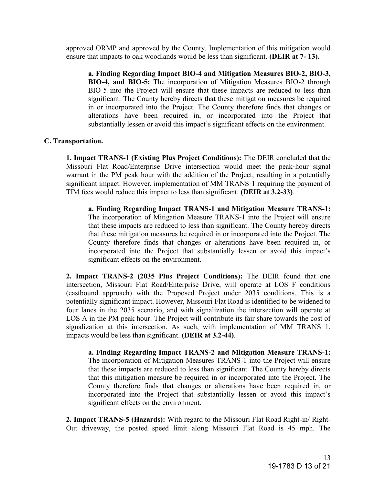approved ORMP and approved by the County. Implementation of this mitigation would ensure that impacts to oak woodlands would be less than significant. **(DEIR at 7- 13)**.

**a. Finding Regarding Impact BIO-4 and Mitigation Measures BIO-2, BIO-3, BIO-4, and BIO-5:** The incorporation of Mitigation Measures BIO-2 through BIO-5 into the Project will ensure that these impacts are reduced to less than significant. The County hereby directs that these mitigation measures be required in or incorporated into the Project. The County therefore finds that changes or alterations have been required in, or incorporated into the Project that substantially lessen or avoid this impact's significant effects on the environment.

#### **C. Transportation.**

**1. Impact TRANS-1 (Existing Plus Project Conditions):** The DEIR concluded that the Missouri Flat Road/Enterprise Drive intersection would meet the peak‐hour signal warrant in the PM peak hour with the addition of the Project, resulting in a potentially significant impact. However, implementation of MM TRANS‐1 requiring the payment of TIM fees would reduce this impact to less than significant. **(DEIR at 3.2-33)**.

**a. Finding Regarding Impact TRANS-1 and Mitigation Measure TRANS-1:**  The incorporation of Mitigation Measure TRANS-1 into the Project will ensure that these impacts are reduced to less than significant. The County hereby directs that these mitigation measures be required in or incorporated into the Project. The County therefore finds that changes or alterations have been required in, or incorporated into the Project that substantially lessen or avoid this impact's significant effects on the environment.

**2. Impact TRANS-2 (2035 Plus Project Conditions):** The DEIR found that one intersection, Missouri Flat Road/Enterprise Drive, will operate at LOS F conditions (eastbound approach) with the Proposed Project under 2035 conditions. This is a potentially significant impact. However, Missouri Flat Road is identified to be widened to four lanes in the 2035 scenario, and with signalization the intersection will operate at LOS A in the PM peak hour. The Project will contribute its fair share towards the cost of signalization at this intersection. As such, with implementation of MM TRANS 1, impacts would be less than significant. **(DEIR at 3.2-44)**.

**a. Finding Regarding Impact TRANS-2 and Mitigation Measure TRANS-1:**  The incorporation of Mitigation Measures TRANS-1 into the Project will ensure that these impacts are reduced to less than significant. The County hereby directs that this mitigation measure be required in or incorporated into the Project. The County therefore finds that changes or alterations have been required in, or incorporated into the Project that substantially lessen or avoid this impact's significant effects on the environment.

**2. Impact TRANS-5 (Hazards):** With regard to the Missouri Flat Road Right-in/ Right-Out driveway, the posted speed limit along Missouri Flat Road is 45 mph. The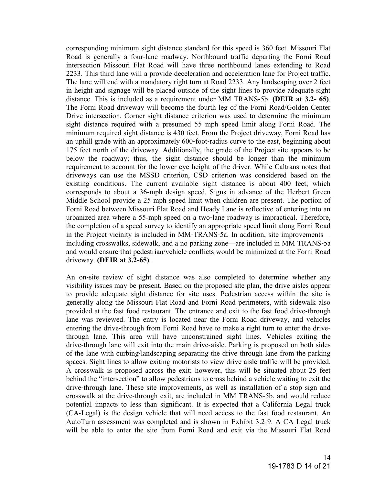corresponding minimum sight distance standard for this speed is 360 feet. Missouri Flat Road is generally a four‐lane roadway. Northbound traffic departing the Forni Road intersection Missouri Flat Road will have three northbound lanes extending to Road 2233. This third lane will a provide deceleration and acceleration lane for Project traffic. The lane will end with a mandatory right turn at Road 2233. Any landscaping over 2 feet in height and signage will be placed outside of the sight lines to provide adequate sight distance. This is included as a requirement under MM TRANS‐5b. **(DEIR at 3.2- 65)**. The Forni Road driveway will become the fourth leg of the Forni Road/Golden Center Drive intersection. Corner sight distance criterion was used to determine the minimum sight distance required with a presumed 55 mph speed limit along Forni Road. The minimum required sight distance is 430 feet. From the Project driveway, Forni Road has an uphill grade with an approximately 600‐foot‐radius curve to the east, beginning about 175 feet north of the driveway. Additionally, the grade of the Project site appears to be below the roadway; thus, the sight distance should be longer than the minimum requirement to account for the lower eye height of the driver. While Caltrans notes that driveways can use the MSSD criterion, CSD criterion was considered based on the existing conditions. The current available sight distance is about 400 feet, which corresponds to about a 36-mph design speed. Signs in advance of the Herbert Green Middle School provide a 25-mph speed limit when children are present. The portion of Forni Road between Missouri Flat Road and Heady Lane is reflective of entering into an urbanized area where a 55-mph speed on a two-lane roadway is impractical. Therefore, the completion of a speed survey to identify an appropriate speed limit along Forni Road in the Project vicinity is included in MM‐TRANS‐5a. In addition, site improvements including crosswalks, sidewalk, and a no parking zone—are included in MM TRANS‐5a and would ensure that pedestrian/vehicle conflicts would be minimized at the Forni Road driveway. **(DEIR at 3.2-65)**.

An on-site review of sight distance was also completed to determine whether any visibility issues may be present. Based on the proposed site plan, the drive aisles appear to provide adequate sight distance for site uses. Pedestrian access within the site is generally along the Missouri Flat Road and Forni Road perimeters, with sidewalk also provided at the fast food restaurant. The entrance and exit to the fast food drive‐through lane was reviewed. The entry is located near the Forni Road driveway, and vehicles entering the drive-through from Forni Road have to make a right turn to enter the drivethrough lane. This area will have unconstrained sight lines. Vehicles exiting the drive‐through lane will exit into the main drive‐aisle. Parking is proposed on both sides of the lane with curbing/landscaping separating the drive through lane from the parking spaces. Sight lines to allow exiting motorists to view drive aisle traffic will be provided. A crosswalk is proposed across the exit; however, this will be situated about 25 feet behind the "intersection" to allow pedestrians to cross behind a vehicle waiting to exit the drive‐through lane. These site improvements, as well as installation of a stop sign and crosswalk at the drive‐through exit, are included in MM TRANS‐5b, and would reduce potential impacts to less than significant. It is expected that a California Legal truck (CA‐Legal) is the design vehicle that will need access to the fast food restaurant. An AutoTurn assessment was completed and is shown in Exhibit 3.2‐9. A CA Legal truck will be able to enter the site from Forni Road and exit via the Missouri Flat Road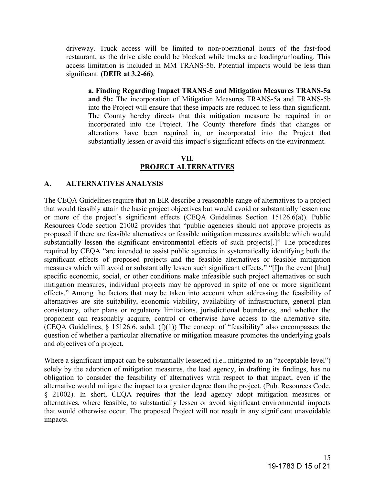driveway. Truck access will be limited to non‐operational hours of the fast‐food restaurant, as the drive aisle could be blocked while trucks are loading/unloading. This access limitation is included in MM TRANS‐5b. Potential impacts would be less than significant. **(DEIR at 3.2-66)**.

**a. Finding Regarding Impact TRANS-5 and Mitigation Measures TRANS-5a and 5b:** The incorporation of Mitigation Measures TRANS-5a and TRANS-5b into the Project will ensure that these impacts are reduced to less than significant. The County hereby directs that this mitigation measure be required in or incorporated into the Project. The County therefore finds that changes or alterations have been required in, or incorporated into the Project that substantially lessen or avoid this impact's significant effects on the environment.

# **VII. PROJECT ALTERNATIVES**

#### **A. ALTERNATIVES ANALYSIS**

The CEQA Guidelines require that an EIR describe a reasonable range of alternatives to a project that would feasibly attain the basic project objectives but would avoid or substantially lessen one or more of the project's significant effects (CEQA Guidelines Section 15126.6(a)). Public Resources Code section 21002 provides that "public agencies should not approve projects as proposed if there are feasible alternatives or feasible mitigation measures available which would substantially lessen the significant environmental effects of such projects[.]" The procedures required by CEQA "are intended to assist public agencies in systematically identifying both the significant effects of proposed projects and the feasible alternatives or feasible mitigation measures which will avoid or substantially lessen such significant effects." "[I]n the event [that] specific economic, social, or other conditions make infeasible such project alternatives or such mitigation measures, individual projects may be approved in spite of one or more significant effects." Among the factors that may be taken into account when addressing the feasibility of alternatives are site suitability, economic viability, availability of infrastructure, general plan consistency, other plans or regulatory limitations, jurisdictional boundaries, and whether the proponent can reasonably acquire, control or otherwise have access to the alternative site. (CEQA Guidelines,  $\S$  15126.6, subd. (f)(1)) The concept of "feasibility" also encompasses the question of whether a particular alternative or mitigation measure promotes the underlying goals and objectives of a project.

Where a significant impact can be substantially lessened (i.e., mitigated to an "acceptable level") solely by the adoption of mitigation measures, the lead agency, in drafting its findings, has no obligation to consider the feasibility of alternatives with respect to that impact, even if the alternative would mitigate the impact to a greater degree than the project. (Pub. Resources Code, § 21002). In short, CEQA requires that the lead agency adopt mitigation measures or alternatives, where feasible, to substantially lessen or avoid significant environmental impacts that would otherwise occur. The proposed Project will not result in any significant unavoidable impacts.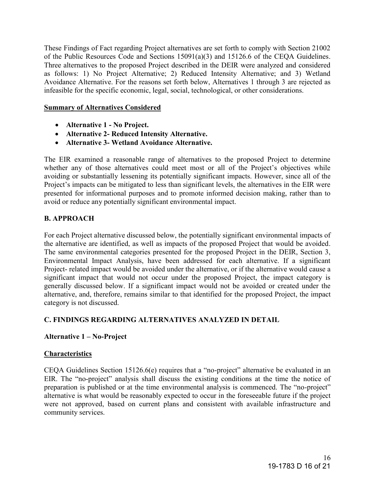These Findings of Fact regarding Project alternatives are set forth to comply with Section 21002 of the Public Resources Code and Sections 15091(a)(3) and 15126.6 of the CEQA Guidelines. Three alternatives to the proposed Project described in the DEIR were analyzed and considered as follows: 1) No Project Alternative; 2) Reduced Intensity Alternative; and 3) Wetland Avoidance Alternative. For the reasons set forth below, Alternatives 1 through 3 are rejected as infeasible for the specific economic, legal, social, technological, or other considerations.

#### **Summary of Alternatives Considered**

- **Alternative 1 No Project.**
- **Alternative 2- Reduced Intensity Alternative.**
- **Alternative 3- Wetland Avoidance Alternative.**

The EIR examined a reasonable range of alternatives to the proposed Project to determine whether any of those alternatives could meet most or all of the Project's objectives while avoiding or substantially lessening its potentially significant impacts. However, since all of the Project's impacts can be mitigated to less than significant levels, the alternatives in the EIR were presented for informational purposes and to promote informed decision making, rather than to avoid or reduce any potentially significant environmental impact.

# **B. APPROACH**

For each Project alternative discussed below, the potentially significant environmental impacts of the alternative are identified, as well as impacts of the proposed Project that would be avoided. The same environmental categories presented for the proposed Project in the DEIR, Section 3, Environmental Impact Analysis, have been addressed for each alternative. If a significant Project- related impact would be avoided under the alternative, or if the alternative would cause a significant impact that would not occur under the proposed Project, the impact category is generally discussed below. If a significant impact would not be avoided or created under the alternative, and, therefore, remains similar to that identified for the proposed Project, the impact category is not discussed.

## **C. FINDINGS REGARDING ALTERNATIVES ANALYZED IN DETAIL**

## **Alternative 1 – No-Project**

## **Characteristics**

CEQA Guidelines Section 15126.6(e) requires that a "no-project" alternative be evaluated in an EIR. The "no-project" analysis shall discuss the existing conditions at the time the notice of preparation is published or at the time environmental analysis is commenced. The "no-project" alternative is what would be reasonably expected to occur in the foreseeable future if the project were not approved, based on current plans and consistent with available infrastructure and community services.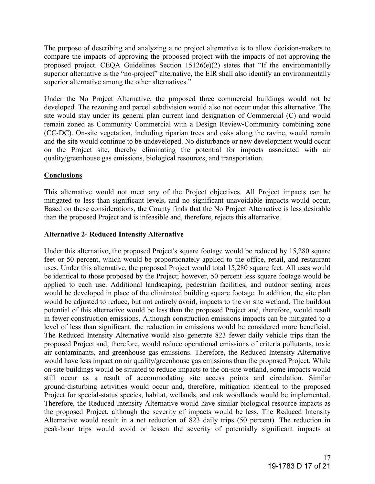The purpose of describing and analyzing a no project alternative is to allow decision-makers to compare the impacts of approving the proposed project with the impacts of not approving the proposed project. CEQA Guidelines Section  $15126(e)(2)$  states that "If the environmentally superior alternative is the "no-project" alternative, the EIR shall also identify an environmentally superior alternative among the other alternatives."

Under the No Project Alternative, the proposed three commercial buildings would not be developed. The rezoning and parcel subdivision would also not occur under this alternative. The site would stay under its general plan current land designation of Commercial (C) and would remain zoned as Community Commercial with a Design Review‐Community combining zone (CC‐DC). On‐site vegetation, including riparian trees and oaks along the ravine, would remain and the site would continue to be undeveloped. No disturbance or new development would occur on the Project site, thereby eliminating the potential for impacts associated with air quality/greenhouse gas emissions, biological resources, and transportation.

# **Conclusions**

This alternative would not meet any of the Project objectives. All Project impacts can be mitigated to less than significant levels, and no significant unavoidable impacts would occur. Based on these considerations, the County finds that the No Project Alternative is less desirable than the proposed Project and is infeasible and, therefore, rejects this alternative.

# **Alternative 2- Reduced Intensity Alternative**

Under this alternative, the proposed Project's square footage would be reduced by 15,280 square feet or 50 percent, which would be proportionately applied to the office, retail, and restaurant uses. Under this alternative, the proposed Project would total 15,280 square feet. All uses would be identical to those proposed by the Project; however, 50 percent less square footage would be applied to each use. Additional landscaping, pedestrian facilities, and outdoor seating areas would be developed in place of the eliminated building square footage. In addition, the site plan would be adjusted to reduce, but not entirely avoid, impacts to the on‐site wetland. The buildout potential of this alternative would be less than the proposed Project and, therefore, would result in fewer construction emissions. Although construction emissions impacts can be mitigated to a level of less than significant, the reduction in emissions would be considered more beneficial. The Reduced Intensity Alternative would also generate 823 fewer daily vehicle trips than the proposed Project and, therefore, would reduce operational emissions of criteria pollutants, toxic air contaminants, and greenhouse gas emissions. Therefore, the Reduced Intensity Alternative would have less impact on air quality/greenhouse gas emissions than the proposed Project. While on‐site buildings would be situated to reduce impacts to the on‐site wetland, some impacts would still occur as a result of accommodating site access points and circulation. Similar ground‐disturbing activities would occur and, therefore, mitigation identical to the proposed Project for special-status species, habitat, wetlands, and oak woodlands would be implemented. Therefore, the Reduced Intensity Alternative would have similar biological resource impacts as the proposed Project, although the severity of impacts would be less. The Reduced Intensity Alternative would result in a net reduction of 823 daily trips (50 percent). The reduction in peak‐hour trips would avoid or lessen the severity of potentially significant impacts at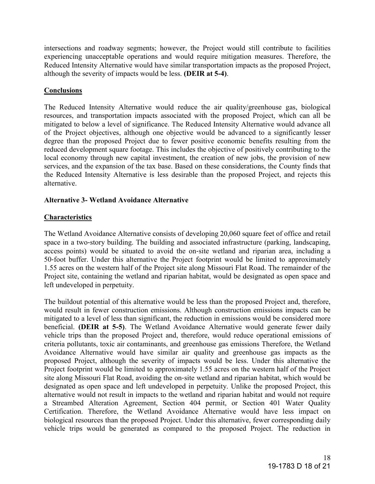intersections and roadway segments; however, the Project would still contribute to facilities experiencing unacceptable operations and would require mitigation measures. Therefore, the Reduced Intensity Alternative would have similar transportation impacts as the proposed Project, although the severity of impacts would be less. **(DEIR at 5-4)**.

# **Conclusions**

The Reduced Intensity Alternative would reduce the air quality/greenhouse gas, biological resources, and transportation impacts associated with the proposed Project, which can all be mitigated to below a level of significance. The Reduced Intensity Alternative would advance all of the Project objectives, although one objective would be advanced to a significantly lesser degree than the proposed Project due to fewer positive economic benefits resulting from the reduced development square footage. This includes the objective of positively contributing to the local economy through new capital investment, the creation of new jobs, the provision of new services, and the expansion of the tax base. Based on these considerations, the County finds that the Reduced Intensity Alternative is less desirable than the proposed Project, and rejects this alternative.

## **Alternative 3- Wetland Avoidance Alternative**

# **Characteristics**

The Wetland Avoidance Alternative consists of developing 20,060 square feet of office and retail space in a two-story building. The building and associated infrastructure (parking, landscaping, access points) would be situated to avoid the on‐site wetland and riparian area, including a 50-foot buffer. Under this alternative the Project footprint would be limited to approximately 1.55 acres on the western half of the Project site along Missouri Flat Road. The remainder of the Project site, containing the wetland and riparian habitat, would be designated as open space and left undeveloped in perpetuity.

The buildout potential of this alternative would be less than the proposed Project and, therefore, would result in fewer construction emissions. Although construction emissions impacts can be mitigated to a level of less than significant, the reduction in emissions would be considered more beneficial. **(DEIR at 5-5)**. The Wetland Avoidance Alternative would generate fewer daily vehicle trips than the proposed Project and, therefore, would reduce operational emissions of criteria pollutants, toxic air contaminants, and greenhouse gas emissions Therefore, the Wetland Avoidance Alternative would have similar air quality and greenhouse gas impacts as the proposed Project, although the severity of impacts would be less. Under this alternative the Project footprint would be limited to approximately 1.55 acres on the western half of the Project site along Missouri Flat Road, avoiding the on‐site wetland and riparian habitat, which would be designated as open space and left undeveloped in perpetuity. Unlike the proposed Project, this alternative would not result in impacts to the wetland and riparian habitat and would not require a Streambed Alteration Agreement, Section 404 permit, or Section 401 Water Quality Certification. Therefore, the Wetland Avoidance Alternative would have less impact on biological resources than the proposed Project. Under this alternative, fewer corresponding daily vehicle trips would be generated as compared to the proposed Project. The reduction in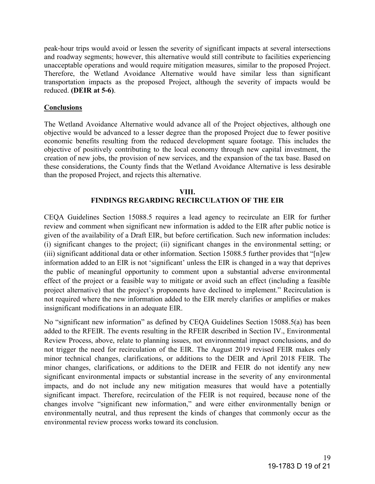peak‐hour trips would avoid or lessen the severity of significant impacts at several intersections and roadway segments; however, this alternative would still contribute to facilities experiencing unacceptable operations and would require mitigation measures, similar to the proposed Project. Therefore, the Wetland Avoidance Alternative would have similar less than significant transportation impacts as the proposed Project, although the severity of impacts would be reduced. **(DEIR at 5-6)**.

#### **Conclusions**

The Wetland Avoidance Alternative would advance all of the Project objectives, although one objective would be advanced to a lesser degree than the proposed Project due to fewer positive economic benefits resulting from the reduced development square footage. This includes the objective of positively contributing to the local economy through new capital investment, the creation of new jobs, the provision of new services, and the expansion of the tax base. Based on these considerations, the County finds that the Wetland Avoidance Alternative is less desirable than the proposed Project, and rejects this alternative.

#### **VIII. FINDINGS REGARDING RECIRCULATION OF THE EIR**

CEQA Guidelines Section 15088.5 requires a lead agency to recirculate an EIR for further review and comment when significant new information is added to the EIR after public notice is given of the availability of a Draft EIR, but before certification. Such new information includes: (i) significant changes to the project; (ii) significant changes in the environmental setting; or (iii) significant additional data or other information. Section 15088.5 further provides that "[n]ew information added to an EIR is not 'significant' unless the EIR is changed in a way that deprives the public of meaningful opportunity to comment upon a substantial adverse environmental effect of the project or a feasible way to mitigate or avoid such an effect (including a feasible project alternative) that the project's proponents have declined to implement." Recirculation is not required where the new information added to the EIR merely clarifies or amplifies or makes insignificant modifications in an adequate EIR.

No "significant new information" as defined by CEQA Guidelines Section 15088.5(a) has been added to the RFEIR. The events resulting in the RFEIR described in Section IV., Environmental Review Process, above, relate to planning issues, not environmental impact conclusions, and do not trigger the need for recirculation of the EIR. The August 2019 revised FEIR makes only minor technical changes, clarifications, or additions to the DEIR and April 2018 FEIR. The minor changes, clarifications, or additions to the DEIR and FEIR do not identify any new significant environmental impacts or substantial increase in the severity of any environmental impacts, and do not include any new mitigation measures that would have a potentially significant impact. Therefore, recirculation of the FEIR is not required, because none of the changes involve "significant new information," and were either environmentally benign or environmentally neutral, and thus represent the kinds of changes that commonly occur as the environmental review process works toward its conclusion.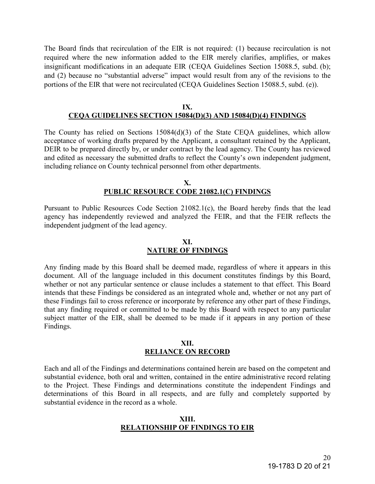The Board finds that recirculation of the EIR is not required: (1) because recirculation is not required where the new information added to the EIR merely clarifies, amplifies, or makes insignificant modifications in an adequate EIR (CEQA Guidelines Section 15088.5, subd. (b); and (2) because no "substantial adverse" impact would result from any of the revisions to the portions of the EIR that were not recirculated (CEQA Guidelines Section 15088.5, subd. (e)).

#### **IX. CEQA GUIDELINES SECTION 15084(D)(3) AND 15084(D)(4) FINDINGS**

The County has relied on Sections 15084(d)(3) of the State CEQA guidelines, which allow acceptance of working drafts prepared by the Applicant, a consultant retained by the Applicant, DEIR to be prepared directly by, or under contract by the lead agency. The County has reviewed and edited as necessary the submitted drafts to reflect the County's own independent judgment, including reliance on County technical personnel from other departments.

#### **X. PUBLIC RESOURCE CODE 21082.1(C) FINDINGS**

Pursuant to Public Resources Code Section 21082.1(c), the Board hereby finds that the lead agency has independently reviewed and analyzed the FEIR, and that the FEIR reflects the independent judgment of the lead agency.

#### **XI. NATURE OF FINDINGS**

Any finding made by this Board shall be deemed made, regardless of where it appears in this document. All of the language included in this document constitutes findings by this Board, whether or not any particular sentence or clause includes a statement to that effect. This Board intends that these Findings be considered as an integrated whole and, whether or not any part of these Findings fail to cross reference or incorporate by reference any other part of these Findings, that any finding required or committed to be made by this Board with respect to any particular subject matter of the EIR, shall be deemed to be made if it appears in any portion of these Findings.

#### **XII. RELIANCE ON RECORD**

Each and all of the Findings and determinations contained herein are based on the competent and substantial evidence, both oral and written, contained in the entire administrative record relating to the Project. These Findings and determinations constitute the independent Findings and determinations of this Board in all respects, and are fully and completely supported by substantial evidence in the record as a whole.

#### **XIII. RELATIONSHIP OF FINDINGS TO EIR**